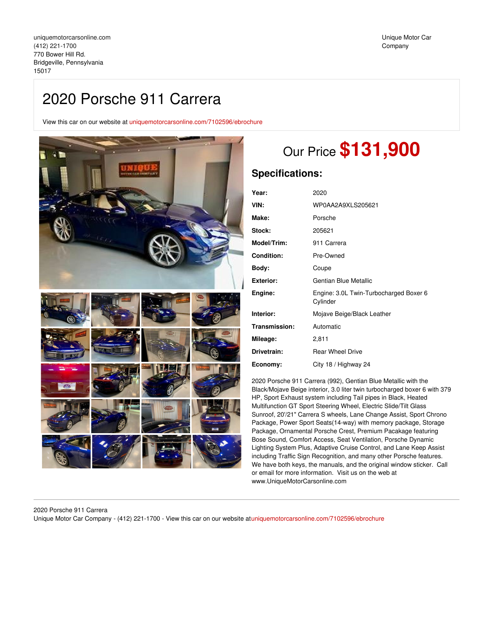# 2020 Porsche 911 Carrera

View this car on our website at [uniquemotorcarsonline.com/7102596/ebrochure](https://uniquemotorcarsonline.com/vehicle/7102596/2020-porsche-911-carrera-bridgeville-pennsylvania-15017/7102596/ebrochure)



# Our Price **\$131,900**

# **Specifications:**

| Year:              | 2020                                               |  |
|--------------------|----------------------------------------------------|--|
| VIN:               | WP0AA2A9XLS205621                                  |  |
| Make:              | Porsche                                            |  |
| Stock:             | 205621                                             |  |
| <b>Model/Trim:</b> | 911 Carrera                                        |  |
| <b>Condition:</b>  | Pre-Owned                                          |  |
| Body:              | Coupe                                              |  |
| Exterior:          | Gentian Blue Metallic                              |  |
| Engine:            | Engine: 3.0L Twin-Turbocharged Boxer 6<br>Cylinder |  |
| Interior:          | Mojave Beige/Black Leather                         |  |
| Transmission:      | Automatic                                          |  |
| Mileage:           | 2,811                                              |  |
| Drivetrain:        | <b>Rear Wheel Drive</b>                            |  |
| Economy:           | City 18 / Highway 24                               |  |

2020 Porsche 911 Carrera (992), Gentian Blue Metallic with the Black/Mojave Beige interior, 3.0 liter twin turbocharged boxer 6 with 379 HP, Sport Exhaust system including Tail pipes in Black, Heated Multifunction GT Sport Steering Wheel, Electric Slide/Tilt Glass Sunroof, 20'/21" Carrera S wheels, Lane Change Assist, Sport Chrono Package, Power Sport Seats(14-way) with memory package, Storage Package, Ornamental Porsche Crest, Premium Pacakage featuring Bose Sound, Comfort Access, Seat Ventilation, Porsche Dynamic Lighting System Plus, Adaptive Cruise Control, and Lane Keep Assist including Traffic Sign Recognition, and many other Porsche features. We have both keys, the manuals, and the original window sticker. Call or email for more information. Visit us on the web at www.UniqueMotorCarsonline.com

2020 Porsche 911 Carrera Unique Motor Car Company - (412) 221-1700 - View this car on our website at[uniquemotorcarsonline.com/7102596/ebrochure](https://uniquemotorcarsonline.com/vehicle/7102596/2020-porsche-911-carrera-bridgeville-pennsylvania-15017/7102596/ebrochure)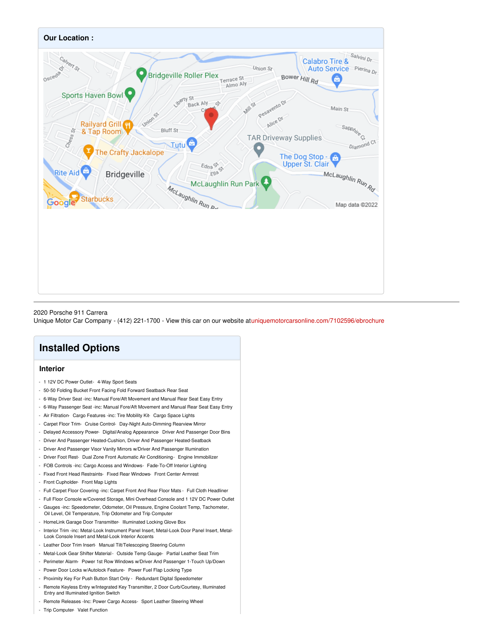

#### 2020 Porsche 911 Carrera

Unique Motor Car Company - (412) 221-1700 - View this car on our website at[uniquemotorcarsonline.com/7102596/ebrochure](https://uniquemotorcarsonline.com/vehicle/7102596/2020-porsche-911-carrera-bridgeville-pennsylvania-15017/7102596/ebrochure)

# **Installed Options**

### **Interior**

- 1 12V DC Power Outlet- 4-Way Sport Seats
- 50-50 Folding Bucket Front Facing Fold Forward Seatback Rear Seat
- 6-Way Driver Seat -inc: Manual Fore/Aft Movement and Manual Rear Seat Easy Entry
- 6-Way Passenger Seat -inc: Manual Fore/Aft Movement and Manual Rear Seat Easy Entry
- Air Filtration- Cargo Features -inc: Tire Mobility Kit- Cargo Space Lights
- Carpet Floor Trim- Cruise Control- Day-Night Auto-Dimming Rearview Mirror
- Delayed Accessory Power- Digital/Analog Appearance- Driver And Passenger Door Bins
- Driver And Passenger Heated-Cushion, Driver And Passenger Heated-Seatback
- Driver And Passenger Visor Vanity Mirrors w/Driver And Passenger Illumination
- Driver Foot Rest- Dual Zone Front Automatic Air Conditioning- Engine Immobilizer
- FOB Controls -inc: Cargo Access and Windows- Fade-To-Off Interior Lighting
- Fixed Front Head Restraints- Fixed Rear Windows- Front Center Armrest
- Front Cupholder- Front Map Lights
- Full Carpet Floor Covering -inc: Carpet Front And Rear Floor Mats Full Cloth Headliner
- Full Floor Console w/Covered Storage, Mini Overhead Console and 1 12V DC Power Outlet
- Gauges -inc: Speedometer, Odometer, Oil Pressure, Engine Coolant Temp, Tachometer, Oil Level, Oil Temperature, Trip Odometer and Trip Computer
- HomeLink Garage Door Transmitter- Illuminated Locking Glove Box
- Interior Trim -inc: Metal-Look Instrument Panel Insert, Metal-Look Door Panel Insert, Metal-Look Console Insert and Metal-Look Interior Accents
- Leather Door Trim Insert- Manual Tilt/Telescoping Steering Column
- Metal-Look Gear Shifter Material Outside Temp Gauge- Partial Leather Seat Trim
- Perimeter Alarm- Power 1st Row Windows w/Driver And Passenger 1-Touch Up/Down
- Power Door Locks w/Autolock Feature- Power Fuel Flap Locking Type
- Proximity Key For Push Button Start Only Redundant Digital Speedometer
- Remote Keyless Entry w/Integrated Key Transmitter, 2 Door Curb/Courtesy, Illuminated Entry and Illuminated Ignition Switch
- Remote Releases -Inc: Power Cargo Access- Sport Leather Steering Wheel
- Trip Computer- Valet Function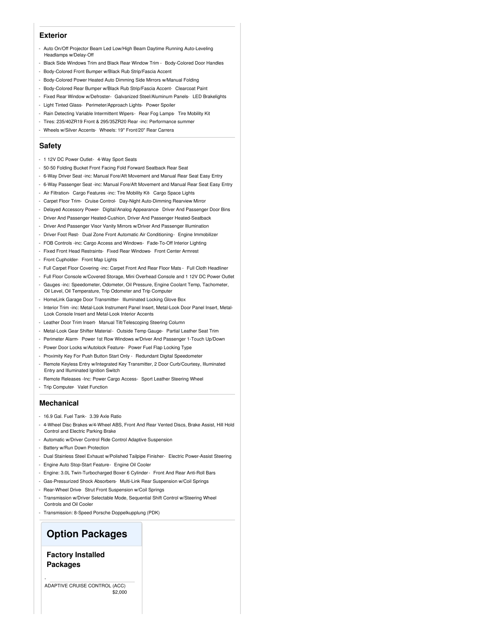#### **Exterior**

- Auto On/Off Projector Beam Led Low/High Beam Daytime Running Auto-Leveling Headlamps w/Delay-Off
- Black Side Windows Trim and Black Rear Window Trim Body-Colored Door Handles
- Body-Colored Front Bumper w/Black Rub Strip/Fascia Accent
- Body-Colored Power Heated Auto Dimming Side Mirrors w/Manual Folding
- Body-Colored Rear Bumper w/Black Rub Strip/Fascia Accent- Clearcoat Paint
- Fixed Rear Window w/Defroster- Galvanized Steel/Aluminum Panels- LED Brakelights
- Light Tinted Glass- Perimeter/Approach Lights- Power Spoiler
- Rain Detecting Variable Intermittent Wipers- Rear Fog Lamps- Tire Mobility Kit
- Tires: 235/40ZR19 Front & 295/35ZR20 Rear -inc: Performance summer
- Wheels w/Silver Accents- Wheels: 19" Front/20" Rear Carrera

#### **Safety**

- 1 12V DC Power Outlet- 4-Way Sport Seats
- 50-50 Folding Bucket Front Facing Fold Forward Seatback Rear Seat
- 6-Way Driver Seat -inc: Manual Fore/Aft Movement and Manual Rear Seat Easy Entry
- 6-Way Passenger Seat -inc: Manual Fore/Aft Movement and Manual Rear Seat Easy Entry
- Air Filtration- Cargo Features -inc: Tire Mobility Kit- Cargo Space Lights
- Carpet Floor Trim- Cruise Control- Day-Night Auto-Dimming Rearview Mirror
- Delayed Accessory Power- Digital/Analog Appearance- Driver And Passenger Door Bins
- Driver And Passenger Heated-Cushion, Driver And Passenger Heated-Seatback
- Driver And Passenger Visor Vanity Mirrors w/Driver And Passenger Illumination
- Driver Foot Rest- Dual Zone Front Automatic Air Conditioning- Engine Immobilizer
- FOB Controls -inc: Cargo Access and Windows- Fade-To-Off Interior Lighting
- Fixed Front Head Restraints- Fixed Rear Windows- Front Center Armrest
- Front Cupholder- Front Map Lights
- Full Carpet Floor Covering -inc: Carpet Front And Rear Floor Mats Full Cloth Headliner
- Full Floor Console w/Covered Storage, Mini Overhead Console and 1 12V DC Power Outlet
- Gauges -inc: Speedometer, Odometer, Oil Pressure, Engine Coolant Temp, Tachometer, Oil Level, Oil Temperature, Trip Odometer and Trip Computer
- HomeLink Garage Door Transmitter- Illuminated Locking Glove Box
- Interior Trim -inc: Metal-Look Instrument Panel Insert, Metal-Look Door Panel Insert, Metal-Look Console Insert and Metal-Look Interior Accents
- Leather Door Trim Insert- Manual Tilt/Telescoping Steering Column
- Metal-Look Gear Shifter Material Outside Temp Gauge- Partial Leather Seat Trim
- Perimeter Alarm- Power 1st Row Windows w/Driver And Passenger 1-Touch Up/Down
- Power Door Locks w/Autolock Feature- Power Fuel Flap Locking Type
- Proximity Key For Push Button Start Only Redundant Digital Speedometer
- Remote Keyless Entry w/Integrated Key Transmitter, 2 Door Curb/Courtesy, Illuminated Entry and Illuminated Ignition Switch
- Remote Releases -Inc: Power Cargo Access- Sport Leather Steering Wheel
- Trip Computer- Valet Function

#### **Mechanical**

- 16.9 Gal. Fuel Tank- 3.39 Axle Ratio
- 4-Wheel Disc Brakes w/4-Wheel ABS, Front And Rear Vented Discs, Brake Assist, Hill Hold Control and Electric Parking Brake
- Automatic w/Driver Control Ride Control Adaptive Suspension
- Battery w/Run Down Protection
- Dual Stainless Steel Exhaust w/Polished Tailpipe Finisher- Electric Power-Assist Steering
- Engine Auto Stop-Start Feature- Engine Oil Cooler
- Engine: 3.0L Twin-Turbocharged Boxer 6 Cylinder- Front And Rear Anti-Roll Bars
- Gas-Pressurized Shock Absorbers- Multi-Link Rear Suspension w/Coil Springs
- Rear-Wheel Drive- Strut Front Suspension w/Coil Springs
- Transmission w/Driver Selectable Mode, Sequential Shift Control w/Steering Wheel Controls and Oil Cooler
- Transmission: 8-Speed Porsche Doppelkupplung (PDK)

## **Option Packages**

### **Factory Installed Packages**

-

 $$2,000$ ADAPTIVE CRUISE CONTROL (ACC)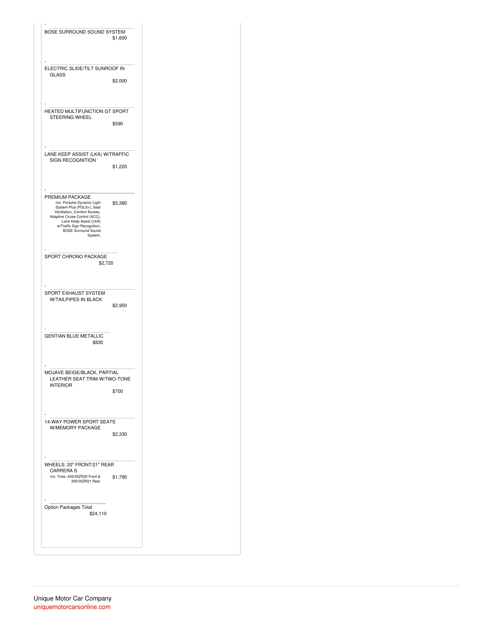| ELECTRIC SLIDE/TILT SUNROOF IN<br><b>GLASS</b><br>\$2,000<br>HEATED MULTIFUNCTION GT SPORT<br>STEERING WHEEL<br>\$590<br>LANE KEEP ASSIST (LKA) W/TRAFFIC<br>SIGN RECOGNITION<br>\$1,220<br>PREMIUM PACKAGE<br>-inc: Porsche Dynamic Light<br>\$5,380<br>System Plus (PDLS+), Seat<br>Ventilation, Comfort Access,<br>Adaptive Cruise Control (ACC),<br>Lane Keep Assist (LKA)<br>w/Traffic Sign Recognition,<br><b>BOSE Surround Sound</b><br>System,<br>SPORT CHRONO PACKAGE<br>\$2,720<br>SPORT EXHAUST SYSTEM<br>W/TAILPIPES IN BLACK<br>\$2,950<br>\$830<br>MOJAVE BEIGE/BLACK, PARTIAL<br>LEATHER SEAT TRIM W/TWO-TONE<br><b>INTERIOR</b><br>\$700<br>14-WAY POWER SPORT SEATS<br>W/MEMORY PACKAGE<br>\$2,330<br>WHEELS: 20" FRONT/21" REAR<br><b>CARRERA S</b><br>-inc: Tires: 245/35ZR20 Front &<br>\$1,790<br>305/30ZR21 Rear<br>\$24,110 | BOSE SURROUND SOUND SYSTEM | \$1,600 |
|----------------------------------------------------------------------------------------------------------------------------------------------------------------------------------------------------------------------------------------------------------------------------------------------------------------------------------------------------------------------------------------------------------------------------------------------------------------------------------------------------------------------------------------------------------------------------------------------------------------------------------------------------------------------------------------------------------------------------------------------------------------------------------------------------------------------------------------------------|----------------------------|---------|
| <b>GENTIAN BLUE METALLIC</b><br>Option Packages Total                                                                                                                                                                                                                                                                                                                                                                                                                                                                                                                                                                                                                                                                                                                                                                                              |                            |         |
|                                                                                                                                                                                                                                                                                                                                                                                                                                                                                                                                                                                                                                                                                                                                                                                                                                                    |                            |         |
|                                                                                                                                                                                                                                                                                                                                                                                                                                                                                                                                                                                                                                                                                                                                                                                                                                                    |                            |         |
|                                                                                                                                                                                                                                                                                                                                                                                                                                                                                                                                                                                                                                                                                                                                                                                                                                                    |                            |         |
|                                                                                                                                                                                                                                                                                                                                                                                                                                                                                                                                                                                                                                                                                                                                                                                                                                                    |                            |         |
|                                                                                                                                                                                                                                                                                                                                                                                                                                                                                                                                                                                                                                                                                                                                                                                                                                                    |                            |         |
|                                                                                                                                                                                                                                                                                                                                                                                                                                                                                                                                                                                                                                                                                                                                                                                                                                                    |                            |         |
|                                                                                                                                                                                                                                                                                                                                                                                                                                                                                                                                                                                                                                                                                                                                                                                                                                                    |                            |         |
|                                                                                                                                                                                                                                                                                                                                                                                                                                                                                                                                                                                                                                                                                                                                                                                                                                                    |                            |         |
|                                                                                                                                                                                                                                                                                                                                                                                                                                                                                                                                                                                                                                                                                                                                                                                                                                                    |                            |         |
|                                                                                                                                                                                                                                                                                                                                                                                                                                                                                                                                                                                                                                                                                                                                                                                                                                                    |                            |         |
|                                                                                                                                                                                                                                                                                                                                                                                                                                                                                                                                                                                                                                                                                                                                                                                                                                                    |                            |         |
|                                                                                                                                                                                                                                                                                                                                                                                                                                                                                                                                                                                                                                                                                                                                                                                                                                                    |                            |         |
|                                                                                                                                                                                                                                                                                                                                                                                                                                                                                                                                                                                                                                                                                                                                                                                                                                                    |                            |         |
|                                                                                                                                                                                                                                                                                                                                                                                                                                                                                                                                                                                                                                                                                                                                                                                                                                                    |                            |         |
|                                                                                                                                                                                                                                                                                                                                                                                                                                                                                                                                                                                                                                                                                                                                                                                                                                                    |                            |         |
|                                                                                                                                                                                                                                                                                                                                                                                                                                                                                                                                                                                                                                                                                                                                                                                                                                                    |                            |         |
|                                                                                                                                                                                                                                                                                                                                                                                                                                                                                                                                                                                                                                                                                                                                                                                                                                                    |                            |         |
|                                                                                                                                                                                                                                                                                                                                                                                                                                                                                                                                                                                                                                                                                                                                                                                                                                                    |                            |         |
|                                                                                                                                                                                                                                                                                                                                                                                                                                                                                                                                                                                                                                                                                                                                                                                                                                                    |                            |         |